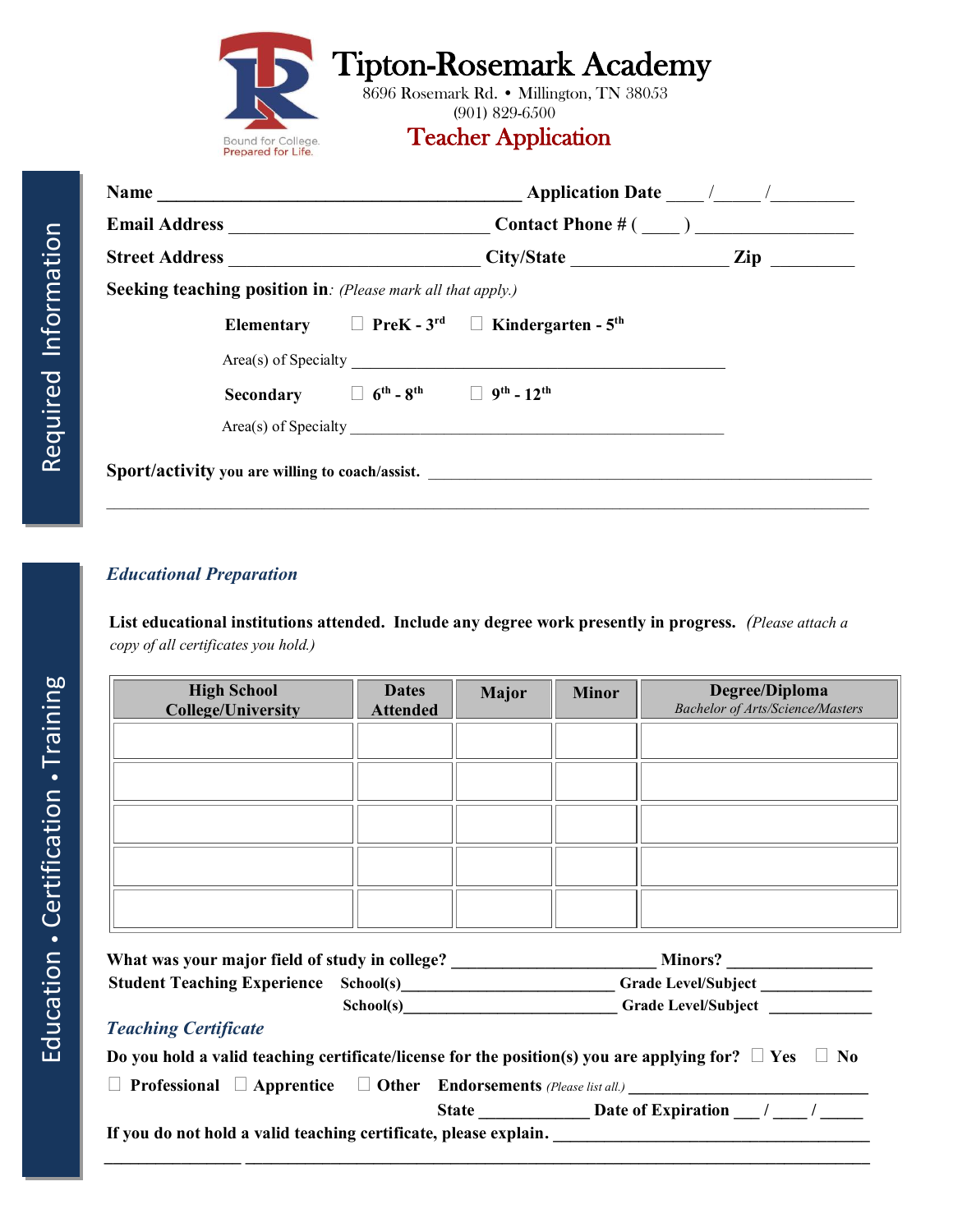

8696 Rosemark Rd. • Millington, TN 38053 (901) 829-6500

# Teacher Application

| Street Address _________________________________City/State ______________________ |                                                                                              | Contact Phone # $(\_\_)$ |                                                                                |  |
|-----------------------------------------------------------------------------------|----------------------------------------------------------------------------------------------|--------------------------|--------------------------------------------------------------------------------|--|
|                                                                                   |                                                                                              |                          | $\mathbf{Zip}$                                                                 |  |
|                                                                                   | <b>Seeking teaching position in</b> : (Please mark all that apply.)                          |                          |                                                                                |  |
|                                                                                   |                                                                                              |                          | Elementary $\Box$ PreK - 3 <sup>rd</sup> $\Box$ Kindergarten - 5 <sup>th</sup> |  |
|                                                                                   |                                                                                              |                          |                                                                                |  |
|                                                                                   | Secondary $\Box$ 6 <sup>th</sup> - 8 <sup>th</sup> $\Box$ 9 <sup>th</sup> - 12 <sup>th</sup> |                          |                                                                                |  |
|                                                                                   |                                                                                              |                          |                                                                                |  |

#### *Educational Preparation*

Bound for College.<br>Prepared for Life.

 **List educational institutions attended. Include any degree work presently in progress.** *(Please attach a copy of all certificates you hold.)*

| <b>High School</b><br><b>College/University</b>                                                              | <b>Dates</b><br><b>Attended</b> | Major | <b>Minor</b> | Degree/Diploma<br><b>Bachelor of Arts/Science/Masters</b>                                                                                                                                                                      |
|--------------------------------------------------------------------------------------------------------------|---------------------------------|-------|--------------|--------------------------------------------------------------------------------------------------------------------------------------------------------------------------------------------------------------------------------|
|                                                                                                              |                                 |       |              |                                                                                                                                                                                                                                |
|                                                                                                              |                                 |       |              |                                                                                                                                                                                                                                |
|                                                                                                              |                                 |       |              |                                                                                                                                                                                                                                |
|                                                                                                              |                                 |       |              |                                                                                                                                                                                                                                |
|                                                                                                              |                                 |       |              |                                                                                                                                                                                                                                |
|                                                                                                              |                                 |       |              |                                                                                                                                                                                                                                |
| Student Teaching Experience School(s)______________________Grade Level/Subject _____________________         |                                 |       |              |                                                                                                                                                                                                                                |
|                                                                                                              |                                 |       |              | School(s) Grade Level/Subject Contains Containing Contains Containing Contains Contains Contains Contains Contains Contains Contains Contains Contains Contains Contains Contains Contains Contains Contains Contains Contains |
| <b>Teaching Certificate</b>                                                                                  |                                 |       |              |                                                                                                                                                                                                                                |
| Do you hold a valid teaching certificate/license for the position(s) you are applying for? $\Box$ Yes $\Box$ |                                 |       |              | No                                                                                                                                                                                                                             |
|                                                                                                              |                                 |       |              | <b>Professional</b> $\Box$ Apprentice $\Box$ Other Endorsements (Please list all.)                                                                                                                                             |
|                                                                                                              |                                 |       |              | State _____________________Date of Expiration ____/ _____/                                                                                                                                                                     |

 **\_\_\_\_\_\_\_\_\_\_\_\_\_\_\_\_ \_\_\_\_\_\_\_\_\_\_\_\_\_\_\_\_\_\_\_\_\_\_\_\_\_\_\_\_\_\_\_\_\_\_\_\_\_\_\_\_\_\_\_\_\_\_\_\_\_\_\_\_\_\_\_\_\_\_\_\_\_\_\_\_\_\_\_\_\_\_\_\_\_**

If you do not hold a valid teaching certificate, please explain.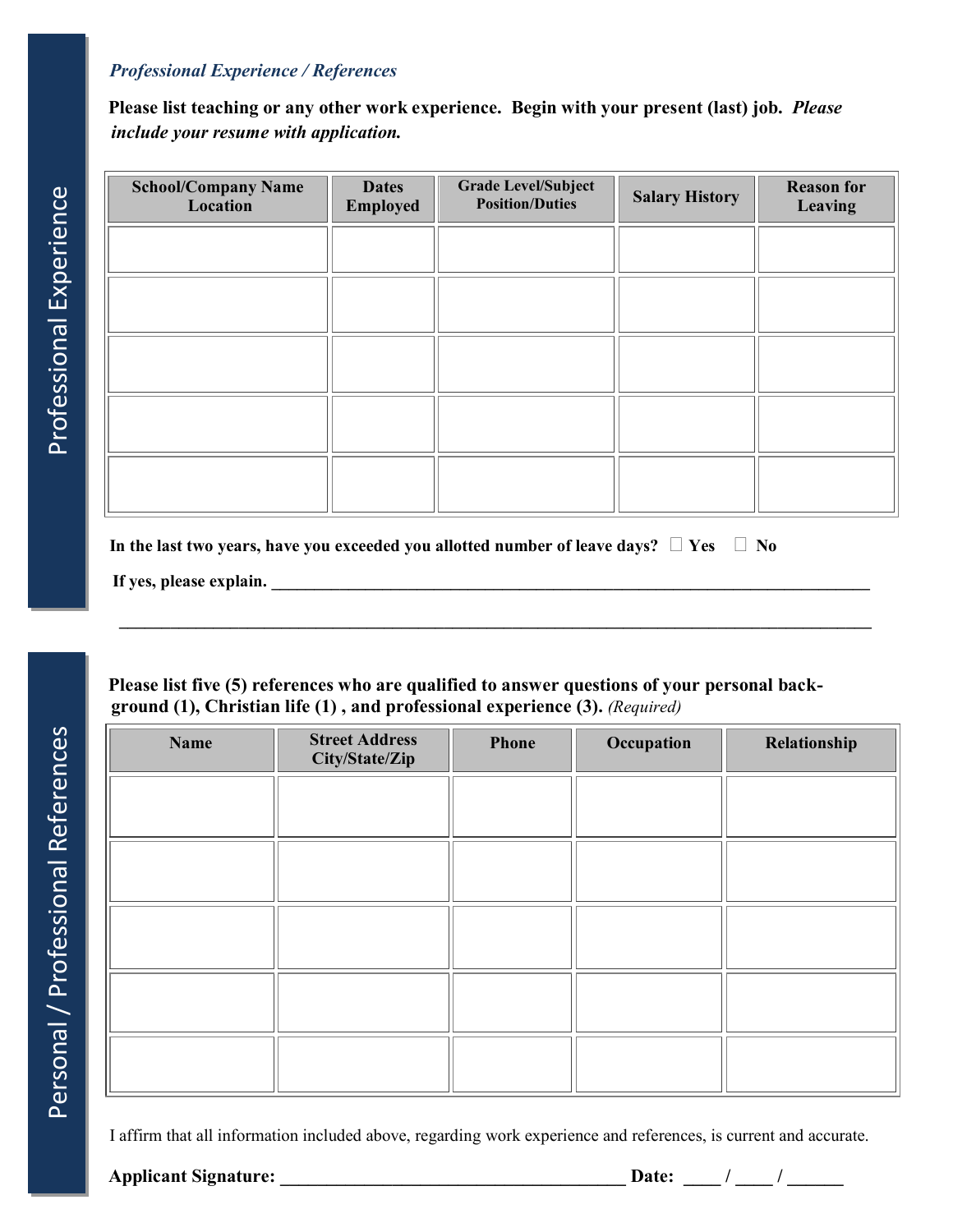#### *Professional Experience / References*

 **Please list teaching or any other work experience. Begin with your present (last) job.** *Please include your resume with application.*

| <b>School/Company Name</b><br>Location | <b>Dates</b><br><b>Employed</b> | <b>Grade Level/Subject</b><br><b>Position/Duties</b> | <b>Salary History</b> | <b>Reason for</b><br><b>Leaving</b> |
|----------------------------------------|---------------------------------|------------------------------------------------------|-----------------------|-------------------------------------|
|                                        |                                 |                                                      |                       |                                     |
|                                        |                                 |                                                      |                       |                                     |
|                                        |                                 |                                                      |                       |                                     |
|                                        |                                 |                                                      |                       |                                     |
|                                        |                                 |                                                      |                       |                                     |
|                                        |                                 |                                                      |                       |                                     |

In the last two years, have you exceeded you allotted number of leave days?  $\Box$  Yes  $\Box$  No

If yes, please explain.

#### **Please list five (5) references who are qualified to answer questions of your personal back ground (1), Christian life (1) , and professional experience (3).** *(Required)*

 **\_\_\_\_\_\_\_\_\_\_\_\_\_\_\_\_\_\_\_\_\_\_\_\_\_\_\_\_\_\_\_\_\_\_\_\_\_\_\_\_\_\_\_\_\_\_\_\_\_\_\_\_\_\_\_\_\_\_\_\_\_\_\_\_\_\_\_\_\_\_\_\_\_\_\_\_\_\_\_\_\_\_\_\_\_\_\_\_**

| <b>Name</b> | <b>Street Address</b><br>City/State/Zip | Phone | Occupation | Relationship |
|-------------|-----------------------------------------|-------|------------|--------------|
|             |                                         |       |            |              |
|             |                                         |       |            |              |
|             |                                         |       |            |              |
|             |                                         |       |            |              |
|             |                                         |       |            |              |
|             |                                         |       |            |              |

I affirm that all information included above, regarding work experience and references, is current and accurate.

**Date:** / /

í

| <b>Applicant Signature:</b> |  |
|-----------------------------|--|
|-----------------------------|--|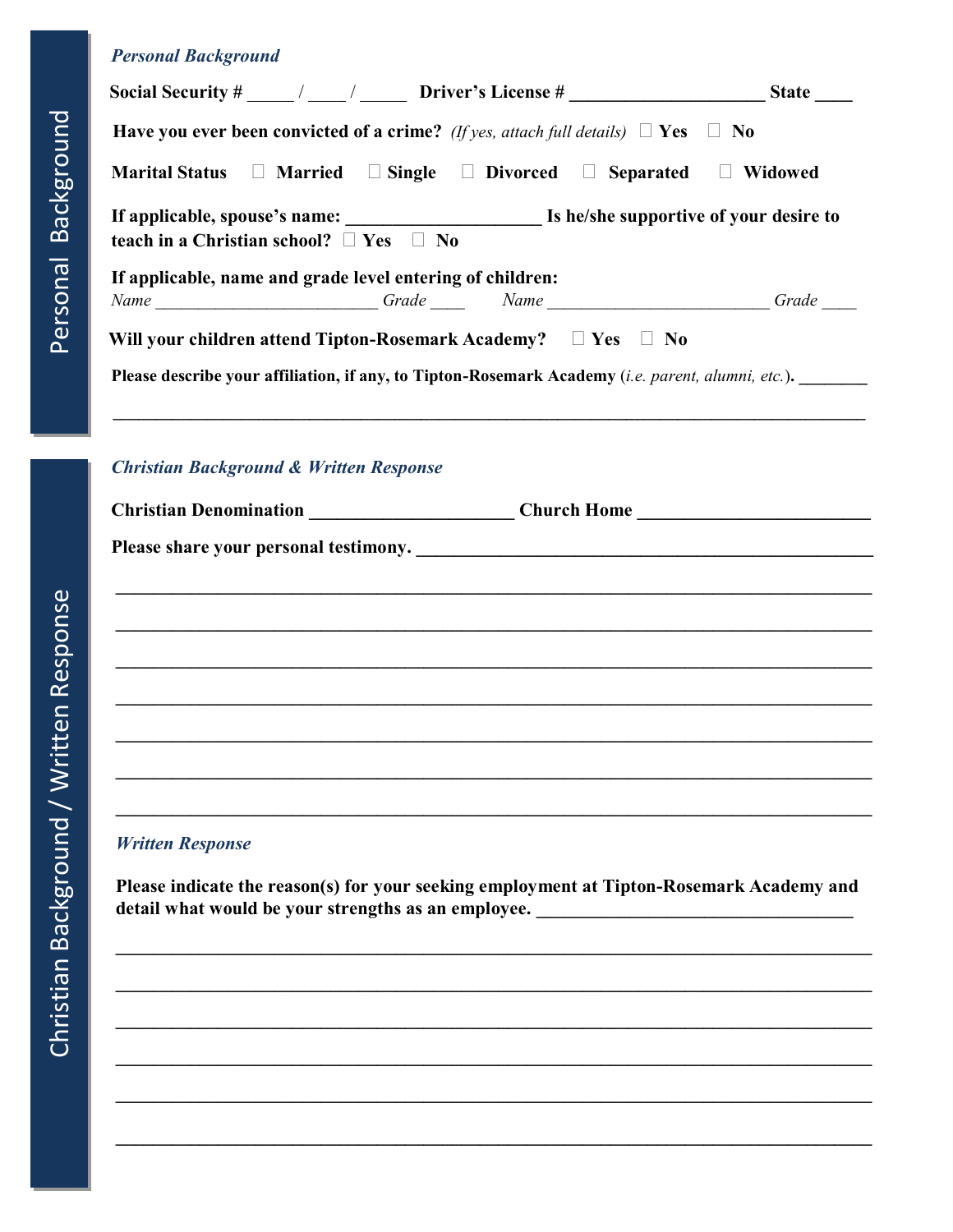### *Personal Background*

| Social Security # ____ / ____ / _____ Driver's License # _________________________ State ____                                                 |  |  |
|-----------------------------------------------------------------------------------------------------------------------------------------------|--|--|
| <b>Have you ever been convicted of a crime?</b> (If yes, attach full details) $\Box$ Yes $\Box$ No                                            |  |  |
| Marital Status $\Box$ Married $\Box$ Single $\Box$ Divorced $\Box$ Separated $\Box$ Widowed                                                   |  |  |
| teach in a Christian school? $\Box$ Yes $\Box$ No                                                                                             |  |  |
| If applicable, name and grade level entering of children:<br>Name ______________________Grade ________ Name _____________________Grade ______ |  |  |
| Will your children attend Tipton-Rosemark Academy? $\square$ Yes $\square$ No                                                                 |  |  |
| Please describe your affiliation, if any, to Tipton-Rosemark Academy ( <i>i.e. parent, alumni, etc.</i> ).                                    |  |  |
|                                                                                                                                               |  |  |
| <b>Christian Background &amp; Written Response</b>                                                                                            |  |  |

| Church Home |  |
|-------------|--|
|             |  |
|             |  |
|             |  |
|             |  |
|             |  |
|             |  |
|             |  |
|             |  |
|             |  |
|             |  |
|             |  |

## *Written Response*

 **Please indicate the reason(s) for your seeking employment at Tipton-Rosemark Academy and** detail what would be your strengths as an employee. \_\_\_\_\_\_\_\_\_\_\_\_\_\_\_\_\_\_\_\_\_\_\_\_\_\_\_\_\_

 **\_\_\_\_\_\_\_\_\_\_\_\_\_\_\_\_\_\_\_\_\_\_\_\_\_\_\_\_\_\_\_\_\_\_\_\_\_\_\_\_\_\_\_\_\_\_\_\_\_\_\_\_\_\_\_\_\_\_\_\_\_\_\_\_\_\_\_\_\_\_\_\_\_\_\_\_\_\_\_\_\_**

 **\_\_\_\_\_\_\_\_\_\_\_\_\_\_\_\_\_\_\_\_\_\_\_\_\_\_\_\_\_\_\_\_\_\_\_\_\_\_\_\_\_\_\_\_\_\_\_\_\_\_\_\_\_\_\_\_\_\_\_\_\_\_\_\_\_\_\_\_\_\_\_\_\_\_\_\_\_\_\_\_\_**

 **\_\_\_\_\_\_\_\_\_\_\_\_\_\_\_\_\_\_\_\_\_\_\_\_\_\_\_\_\_\_\_\_\_\_\_\_\_\_\_\_\_\_\_\_\_\_\_\_\_\_\_\_\_\_\_\_\_\_\_\_\_\_\_\_\_\_\_\_\_\_\_\_\_\_\_\_\_\_\_\_\_**

 **\_\_\_\_\_\_\_\_\_\_\_\_\_\_\_\_\_\_\_\_\_\_\_\_\_\_\_\_\_\_\_\_\_\_\_\_\_\_\_\_\_\_\_\_\_\_\_\_\_\_\_\_\_\_\_\_\_\_\_\_\_\_\_\_\_\_\_\_\_\_\_\_\_\_\_\_\_\_\_\_\_**

 **\_\_\_\_\_\_\_\_\_\_\_\_\_\_\_\_\_\_\_\_\_\_\_\_\_\_\_\_\_\_\_\_\_\_\_\_\_\_\_\_\_\_\_\_\_\_\_\_\_\_\_\_\_\_\_\_\_\_\_\_\_\_\_\_\_\_\_\_\_\_\_\_\_\_\_\_\_\_\_\_\_**

 **\_\_\_\_\_\_\_\_\_\_\_\_\_\_\_\_\_\_\_\_\_\_\_\_\_\_\_\_\_\_\_\_\_\_\_\_\_\_\_\_\_\_\_\_\_\_\_\_\_\_\_\_\_\_\_\_\_\_\_\_\_\_\_\_\_\_\_\_\_\_\_\_\_\_\_\_\_\_\_\_\_**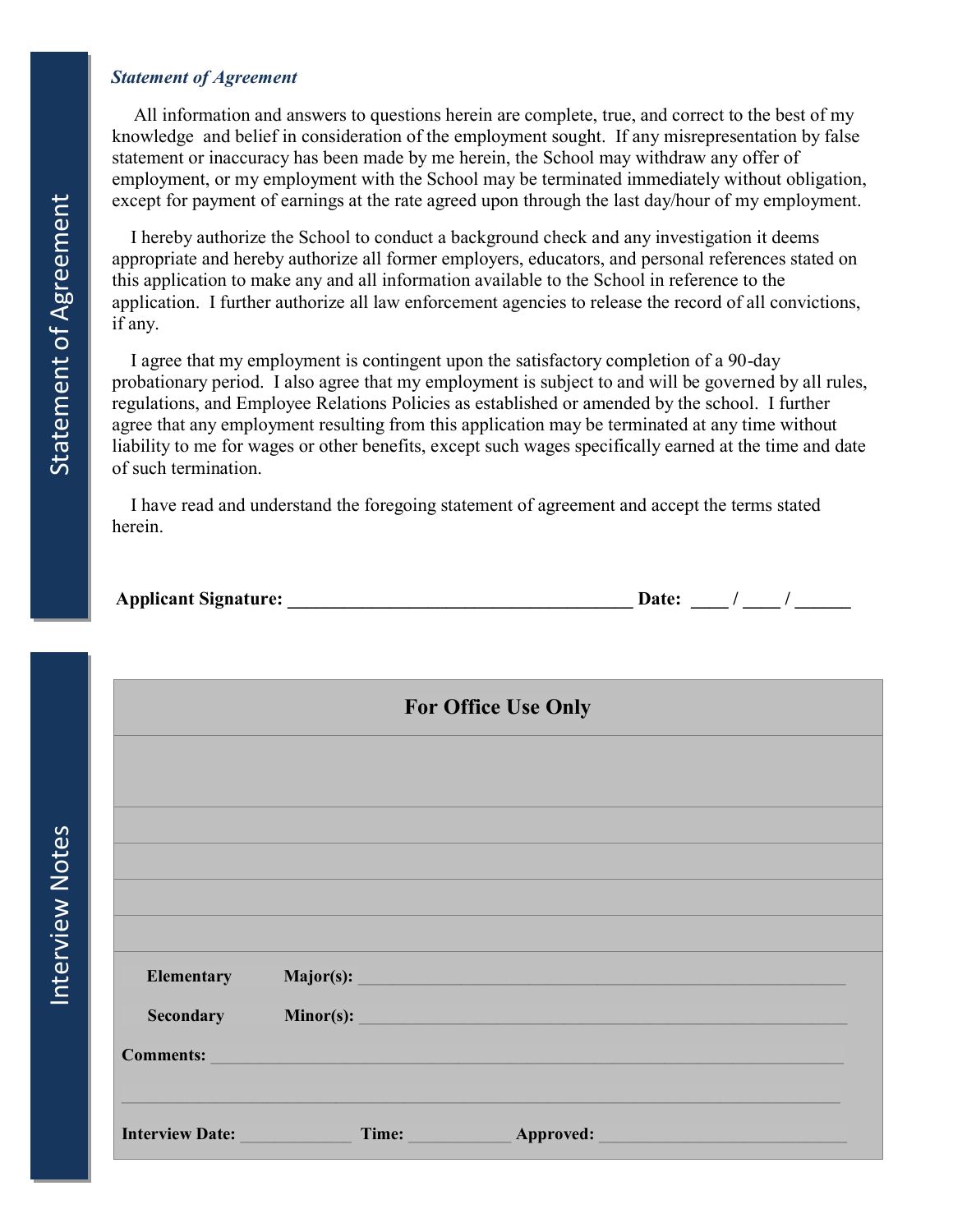#### *Statement of Agreement*

All information and answers to questions herein are complete, true, and correct to the best of my knowledge and belief in consideration of the employment sought. If any misrepresentation by false statement or inaccuracy has been made by me herein, the School may withdraw any offer of employment, or my employment with the School may be terminated immediately without obligation, except for payment of earnings at the rate agreed upon through the last day/hour of my employment.

if any. I hereby authorize the School to conduct a background check and any investigation it deems appropriate and hereby authorize all former employers, educators, and personal references stated on this application to make any and all information available to the School in reference to the application. I further authorize all law enforcement agencies to release the record of all convictions,

 I agree that my employment is contingent upon the satisfactory completion of a 90-day probationary period. I also agree that my employment is subject to and will be governed by all rules, regulations, and Employee Relations Policies as established or amended by the school. I further agree that any employment resulting from this application may be terminated at any time without liability to me for wages or other benefits, except such wages specifically earned at the time and date of such termination.

 I have read and understand the foregoing statement of agreement and accept the terms stated herein.

| <b>Applicant Signature:</b> |  |
|-----------------------------|--|
|-----------------------------|--|

 **Applicant Signature: \_\_\_\_\_\_\_\_\_\_\_\_\_\_\_\_\_\_\_\_\_\_\_\_\_\_\_\_\_\_\_\_\_\_\_\_\_ Date: \_\_\_\_ / \_\_\_\_ / \_\_\_\_\_\_**

| <b>For Office Use Only</b> |                    |  |  |  |
|----------------------------|--------------------|--|--|--|
|                            |                    |  |  |  |
|                            |                    |  |  |  |
|                            |                    |  |  |  |
|                            |                    |  |  |  |
|                            |                    |  |  |  |
|                            |                    |  |  |  |
| Elementary                 | Major(s):          |  |  |  |
| <b>Secondary</b>           | Minor(s):          |  |  |  |
| <b>Comments:</b>           |                    |  |  |  |
|                            |                    |  |  |  |
| <b>Interview Date:</b>     | Time:<br>Approved: |  |  |  |

Interview Notes

Interview Notes